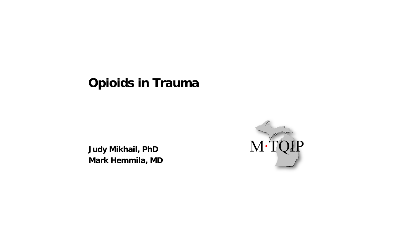# **Opioids in Trauma**

**Judy Mikhail, PhD Mark Hemmila, MD**

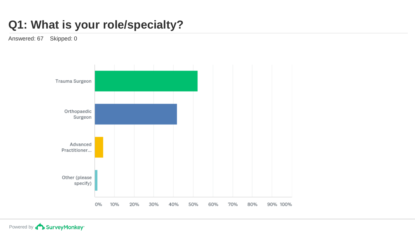# **Q1: What is your role/specialty?**

Answered: 67 Skipped: 0

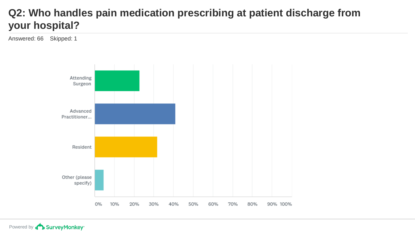#### **Q2: Who handles pain medication prescribing at patient discharge from your hospital?**

Answered: 66 Skipped: 1

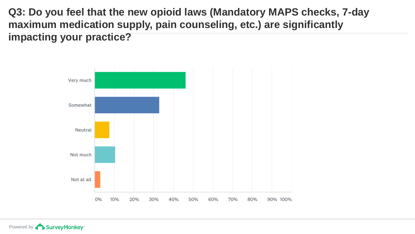**Q3: Do you feel that the new opioid laws (Mandatory MAPS checks, 7-day maximum medication supply, pain counseling, etc.) are significantly impacting your practice?**



Powered by **Constant Survey Monkey**<sup>\*</sup>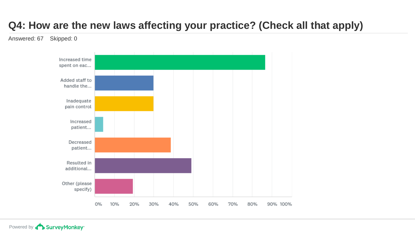### **Q4: How are the new laws affecting your practice? (Check all that apply)**

Answered: 67 Skipped: 0

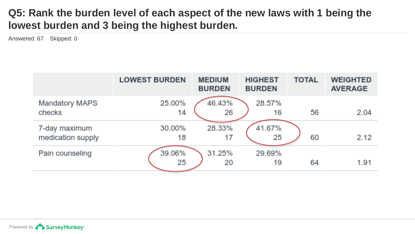#### **Q5: Rank the burden level of each aspect of the new laws with 1 being the lowest burden and 3 being the highest burden.**

Answered: 67 Skipped: 0

|                                    | <b>LOWEST BURDEN</b> | <b>MEDIUM</b><br><b>BURDEN</b> | <b>HIGHEST</b><br><b>BURDEN</b> | <b>TOTAL</b> | <b>WEIGHTED</b><br><b>AVERAGE</b> |
|------------------------------------|----------------------|--------------------------------|---------------------------------|--------------|-----------------------------------|
| Mandatory MAPS<br>checks           | 25.00%<br>14         | 46.43%<br>26                   | 28.57%<br>16                    | 56           | 2.04                              |
| 7-day maximum<br>medication supply | 30.00%<br>18         | 28.33%<br>17                   | 41.67%<br>-25                   | 60           | 2.12                              |
| Pain counseling                    | 39.06%<br>25         | 31.25%<br>20                   | 29.69%<br>19                    | 64           | 1.91                              |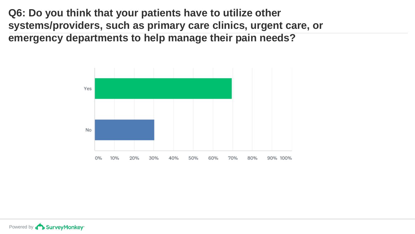**Q6: Do you think that your patients have to utilize other systems/providers, such as primary care clinics, urgent care, or emergency departments to help manage their pain needs?**

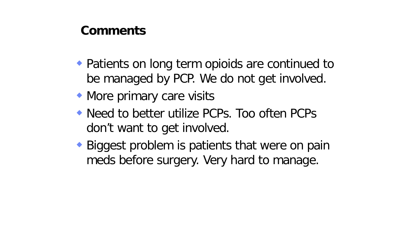- ◆ Patients on long term opioids are continued to be managed by PCP. We do not get involved.
- More primary care visits
- Need to better utilize PCPs. Too often PCPs don't want to get involved.
- ◆ Biggest problem is patients that were on pain meds before surgery. Very hard to manage.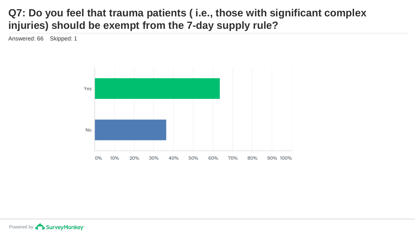#### **Q7: Do you feel that trauma patients ( i.e., those with significant complex injuries) should be exempt from the 7-day supply rule?**

Answered: 66 Skipped: 1

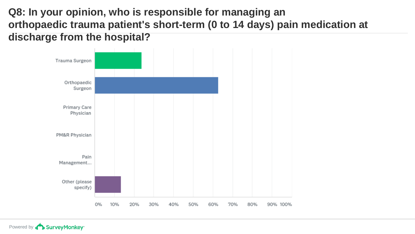**Q8: In your opinion, who is responsible for managing an orthopaedic trauma patient's short-term (0 to 14 days) pain medication at discharge from the hospital?**



Powered by **CO** Survey Monkey<sup>®</sup>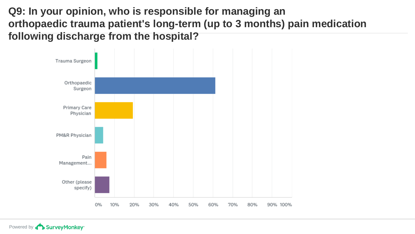**Q9: In your opinion, who is responsible for managing an orthopaedic trauma patient's long-term (up to 3 months) pain medication following discharge from the hospital?**

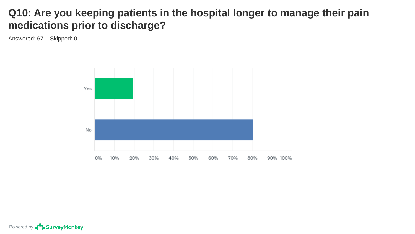#### **Q10: Are you keeping patients in the hospital longer to manage their pain medications prior to discharge?**

Answered: 67 Skipped: 0

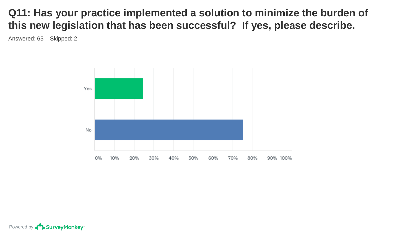#### **Q11: Has your practice implemented a solution to minimize the burden of this new legislation that has been successful? If yes, please describe.**

Answered: 65 Skipped: 2

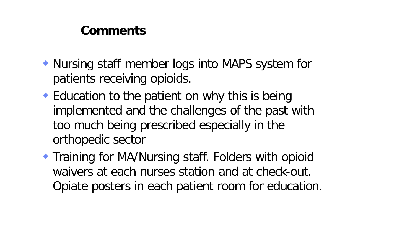- Nursing staff member logs into MAPS system for patients receiving opioids.
- ◆ Education to the patient on why this is being implemented and the challenges of the past with too much being prescribed especially in the orthopedic sector
- **Training for MA/Nursing staff. Folders with opioid** waivers at each nurses station and at check-out. Opiate posters in each patient room for education.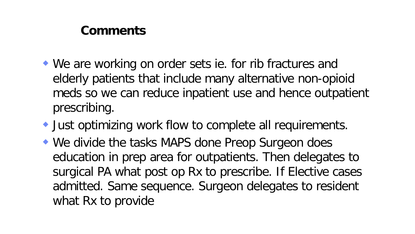- We are working on order sets ie. for rib fractures and elderly patients that include many alternative non-opioid meds so we can reduce inpatient use and hence outpatient prescribing.
- Just optimizing work flow to complete all requirements.
- We divide the tasks MAPS done Preop Surgeon does education in prep area for outpatients. Then delegates to surgical PA what post op Rx to prescribe. If Elective cases admitted. Same sequence. Surgeon delegates to resident what Rx to provide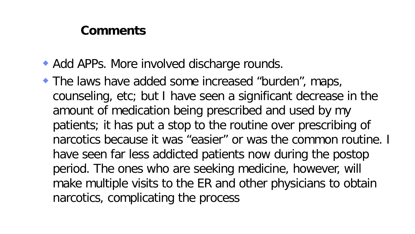- ◆ Add APPs. More involved discharge rounds.
- The laws have added some increased "burden", maps, counseling, etc; but I have seen a significant decrease in the amount of medication being prescribed and used by my patients; it has put a stop to the routine over prescribing of narcotics because it was "easier" or was the common routine. I have seen far less addicted patients now during the postop period. The ones who are seeking medicine, however, will make multiple visits to the ER and other physicians to obtain narcotics, complicating the process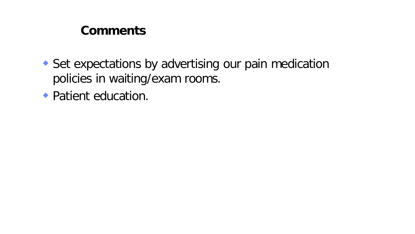Set expectations by advertising our pain medication policies in waiting/exam rooms.

• Patient education.